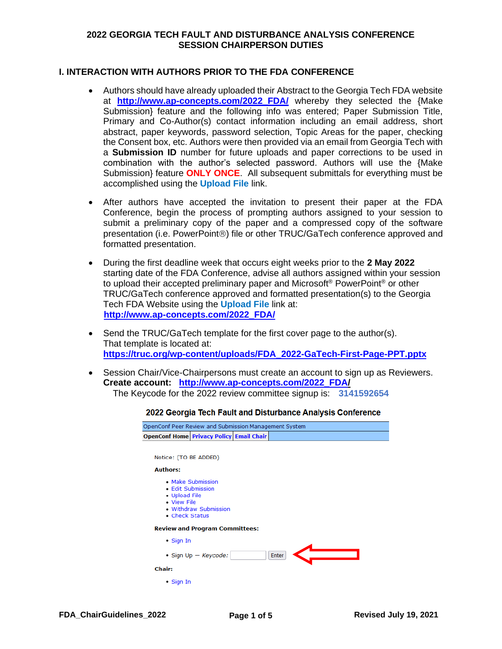#### **I. INTERACTION WITH AUTHORS PRIOR TO THE FDA CONFERENCE**

- Authors should have already uploaded their Abstract to the Georgia Tech FDA website at **http://www.ap-concepts.com/2022 FDA/** whereby they selected the {Make Submission} feature and the following info was entered; Paper Submission Title, Primary and Co-Author(s) contact information including an email address, short abstract, paper keywords, password selection, Topic Areas for the paper, checking the Consent box, etc. Authors were then provided via an email from Georgia Tech with a **Submission ID** number for future uploads and paper corrections to be used in combination with the author's selected password. Authors will use the {Make Submission} feature **ONLY ONCE**. All subsequent submittals for everything must be accomplished using the **Upload File** link.
- After authors have accepted the invitation to present their paper at the FDA Conference, begin the process of prompting authors assigned to your session to submit a preliminary copy of the paper and a compressed copy of the software presentation (i.e. PowerPoint®) file or other TRUC/GaTech conference approved and formatted presentation.
- During the first deadline week that occurs eight weeks prior to the **2 May 2022** starting date of the FDA Conference, advise all authors assigned within your session to upload their accepted preliminary paper and Microsoft® PowerPoint® or other TRUC/GaTech conference approved and formatted presentation(s) to the Georgia Tech FDA Website using the **Upload File** link at:  **[http://www.ap-concepts.com/2022\\_FDA/](http://www.ap-concepts.com/2022_FDA/)**
- Send the TRUC/GaTech template for the first cover page to the author(s). That template is located at: **[https://truc.org/wp-content/uploads/FDA\\_2022-GaTech-First-Page-PPT.pptx](https://truc.org/wp-content/uploads/FDA_2022-GaTech-First-Page-PPT.pptx)**
- Session Chair/Vice-Chairpersons must create an account to sign up as Reviewers. **Create account: [http://www.ap-concepts.com/2022\\_FDA/](http://www.ap-concepts.com/2022_FDA)** The Keycode for the 2022 review committee signup is: **3141592654**

| 2022 Georgia Tech Fault and Disturbance Analysis Conferenc          |                                            |       |  |  |
|---------------------------------------------------------------------|--------------------------------------------|-------|--|--|
| OpenConf Peer Review and Submission Management System               |                                            |       |  |  |
| <b>OpenConf Home Privacy Policy Email Chair</b>                     |                                            |       |  |  |
|                                                                     |                                            |       |  |  |
| Notice: (TO BE ADDED)                                               |                                            |       |  |  |
| <b>Authors:</b>                                                     |                                            |       |  |  |
| • Edit Submission<br>• Upload File<br>• View File<br>• Check Status | • Make Submission<br>• Withdraw Submission |       |  |  |
|                                                                     | <b>Review and Program Committees:</b>      |       |  |  |
| $\bullet$ Sign In                                                   |                                            |       |  |  |
|                                                                     | • Sign $Up - Keycode$ :                    | Enter |  |  |
| <b>Chair:</b>                                                       |                                            |       |  |  |
| • Sign In                                                           |                                            |       |  |  |
|                                                                     |                                            |       |  |  |

#### $\mathbf{A}$  and  $\mathbf{A}$  and  $\mathbf{A}$  and  $\mathbf{A}$ e.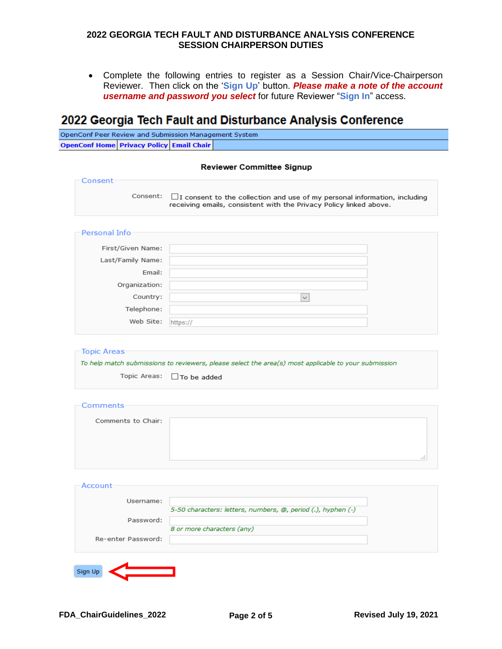• Complete the following entries to register as a Session Chair/Vice-Chairperson Reviewer. Then click on the '**Sign Up**' button. *Please make a note of the account username and password you select* for future Reviewer "**Sign In**" access.

# 2022 Georgia Tech Fault and Disturbance Analysis Conference

| OpenConf Peer Review and Submission Management System |  |  |
|-------------------------------------------------------|--|--|
| <b>OpenConf Home Privacy Policy Email Chair</b>       |  |  |

| Consent                                                         |                                                                                                                                                        |  |
|-----------------------------------------------------------------|--------------------------------------------------------------------------------------------------------------------------------------------------------|--|
| Consent:                                                        | $\Box$ I consent to the collection and use of my personal information, including<br>receiving emails, consistent with the Privacy Policy linked above. |  |
| Personal Info                                                   |                                                                                                                                                        |  |
| First/Given Name:                                               |                                                                                                                                                        |  |
| Last/Family Name:                                               |                                                                                                                                                        |  |
| Email:                                                          |                                                                                                                                                        |  |
| Organization:                                                   |                                                                                                                                                        |  |
| Country:                                                        | $\checkmark$                                                                                                                                           |  |
| Telephone:                                                      |                                                                                                                                                        |  |
| Web Site:                                                       | https://                                                                                                                                               |  |
| Topic Areas:                                                    | To help match submissions to reviewers, please select the area(s) most applicable to your submission<br>$\Box$ To be added                             |  |
|                                                                 |                                                                                                                                                        |  |
| Comments to Chair:                                              |                                                                                                                                                        |  |
|                                                                 |                                                                                                                                                        |  |
|                                                                 |                                                                                                                                                        |  |
|                                                                 |                                                                                                                                                        |  |
|                                                                 |                                                                                                                                                        |  |
|                                                                 |                                                                                                                                                        |  |
| Username:                                                       | 5-50 characters: letters, numbers, @, period (.), hyphen (-)                                                                                           |  |
| Password:                                                       |                                                                                                                                                        |  |
| <b>Topic Areas</b><br>Comments<br>Account<br>Re-enter Password: | 8 or more characters (any)                                                                                                                             |  |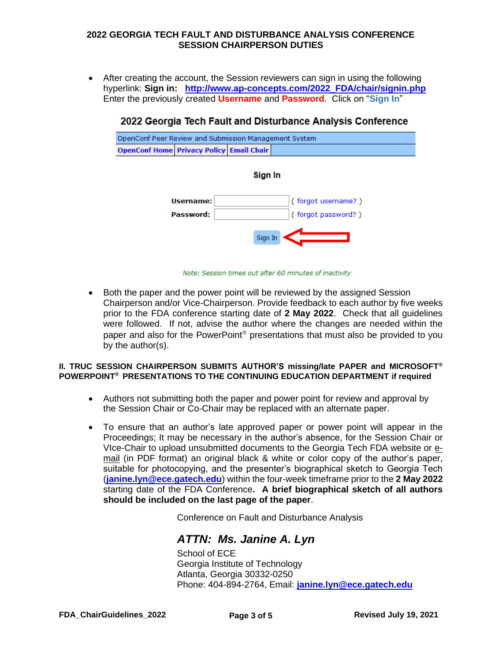• After creating the account, the Session reviewers can sign in using the following hyperlink: **Sign in: [http://www.ap-concepts.com/2022\\_FDA/chair/signin.php](http://www.ap-concepts.com/2022_FDA/chair/signin.php)** Enter the previously created **Username** and **Password**. Click on "**Sign In**"

## 2022 Georgia Tech Fault and Disturbance Analysis Conference



#### Sign In



Note: Session times out after 60 minutes of inactivity

• Both the paper and the power point will be reviewed by the assigned Session Chairperson and/or Vice-Chairperson. Provide feedback to each author by five weeks prior to the FDA conference starting date of **2 May 2022**. Check that all guidelines were followed. If not, advise the author where the changes are needed within the paper and also for the PowerPoint<sup>®</sup> presentations that must also be provided to you by the author(s).

#### **II. TRUC SESSION CHAIRPERSON SUBMITS AUTHOR'S missing/late PAPER and MICROSOFT® POWERPOINT® PRESENTATIONS TO THE CONTINUING EDUCATION DEPARTMENT if required**

- Authors not submitting both the paper and power point for review and approval by the Session Chair or Co-Chair may be replaced with an alternate paper.
- To ensure that an author's late approved paper or power point will appear in the Proceedings; It may be necessary in the author's absence, for the Session Chair or VIce-Chair to upload unsubmitted documents to the Georgia Tech FDA website or email (in PDF format) an original black & white or color copy of the author's paper, suitable for photocopying, and the presenter's biographical sketch to Georgia Tech (**[janine.lyn@ece.gatech.edu](mailto:janine.lyn@ece.gatech.edu)**) within the four-week timeframe prior to the **2 May 2022** starting date of the FDA Conference**. A brief biographical sketch of all authors should be included on the last page of the paper**.

Conference on Fault and Disturbance Analysis

# *ATTN: Ms. Janine A. Lyn*

School of ECE Georgia Institute of Technology Atlanta, Georgia 30332-0250 Phone: 404-894-2764, Email: **[janine.lyn@ece.gatech.edu](mailto:janine.lyn@ece.gatech.edu)**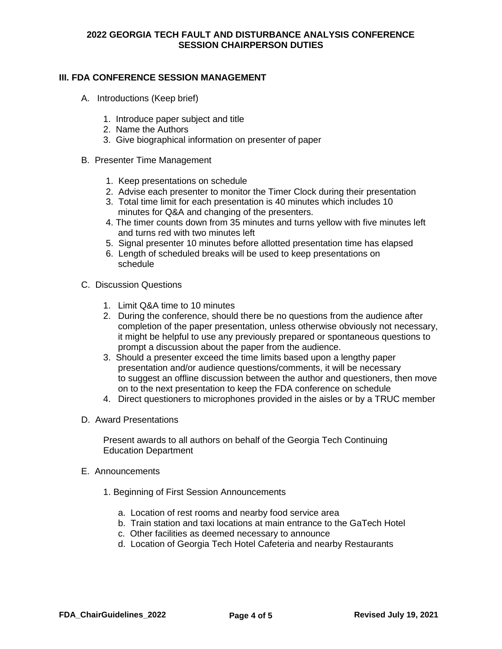### **III. FDA CONFERENCE SESSION MANAGEMENT**

- A. Introductions (Keep brief)
	- 1. Introduce paper subject and title
	- 2. Name the Authors
	- 3. Give biographical information on presenter of paper
- B. Presenter Time Management
	- 1. Keep presentations on schedule
	- 2. Advise each presenter to monitor the Timer Clock during their presentation
	- 3. Total time limit for each presentation is 40 minutes which includes 10 minutes for Q&A and changing of the presenters.
	- 4. The timer counts down from 35 minutes and turns yellow with five minutes left and turns red with two minutes left
	- 5. Signal presenter 10 minutes before allotted presentation time has elapsed
	- 6. Length of scheduled breaks will be used to keep presentations on schedule
- C. Discussion Questions
	- 1. Limit Q&A time to 10 minutes
	- 2. During the conference, should there be no questions from the audience after completion of the paper presentation, unless otherwise obviously not necessary, it might be helpful to use any previously prepared or spontaneous questions to prompt a discussion about the paper from the audience.
	- 3. Should a presenter exceed the time limits based upon a lengthy paper presentation and/or audience questions/comments, it will be necessary to suggest an offline discussion between the author and questioners, then move on to the next presentation to keep the FDA conference on schedule
	- 4. Direct questioners to microphones provided in the aisles or by a TRUC member
- D. Award Presentations

Present awards to all authors on behalf of the Georgia Tech Continuing Education Department

- E. Announcements
	- 1. Beginning of First Session Announcements
		- a. Location of rest rooms and nearby food service area
		- b. Train station and taxi locations at main entrance to the GaTech Hotel
		- c. Other facilities as deemed necessary to announce
		- d. Location of Georgia Tech Hotel Cafeteria and nearby Restaurants